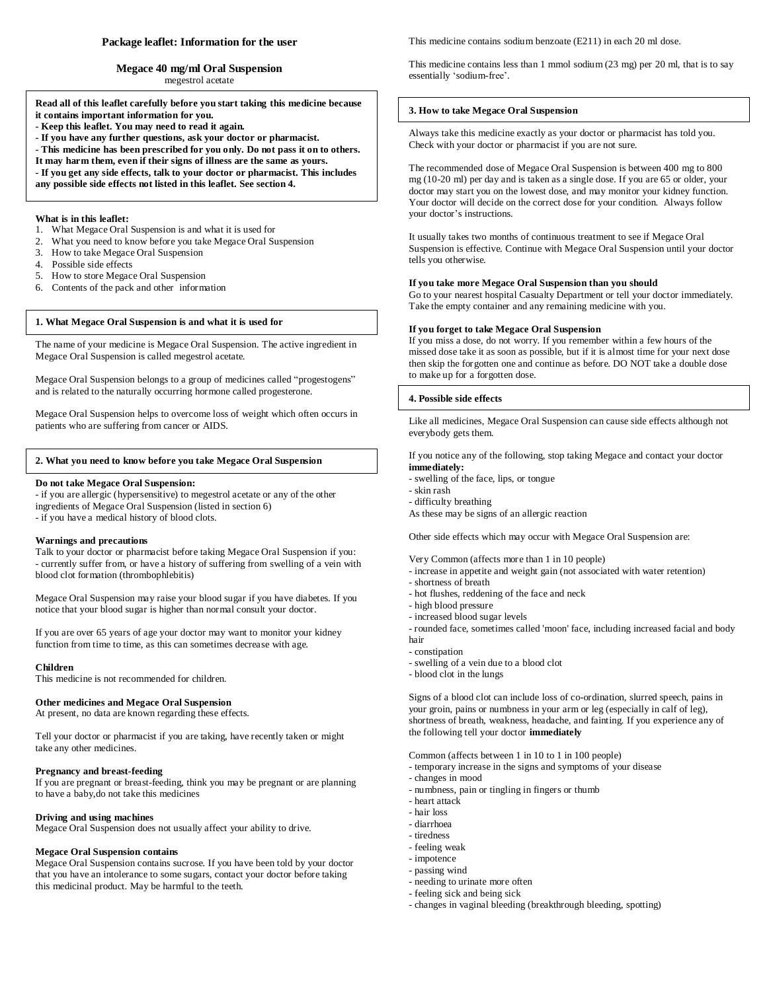## **Package leaflet: Information for the user**

**Megace 40 mg/ml Oral Suspension** megestrol acetate

**Read all of this leaflet carefully before you start taking this medicine because it contains important information for you.**

- **- Keep this leaflet. You may need to read it again.**
- **- If you have any further questions, ask your doctor or pharmacist.**
- **- This medicine has been prescribed for you only. Do not pass it on to others.**
- **It may harm them, even if their signs of illness are the same as yours.**
- **- If you get any side effects, talk to your doctor or pharmacist. This includes**
- **any possible side effects not listed in this leaflet. See section 4.**

# **What is in this leaflet:**

- 1. What Megace Oral Suspension is and what it is used for
- 2. What you need to know before you take Megace Oral Suspension
- 3. How to take Megace Oral Suspension
- 4. Possible side effects
- 5. How to store Megace Oral Suspension
- 6. Contents of the pack and other information

## **1. What Megace Oral Suspension is and what it is used for**

The name of your medicine is Megace Oral Suspension. The active ingredient in Megace Oral Suspension is called megestrol acetate.

Megace Oral Suspension belongs to a group of medicines called "progestogens" and is related to the naturally occurring hormone called progesterone.

Megace Oral Suspension helps to overcome loss of weight which often occurs in patients who are suffering from cancer or AIDS.

### **2. What you need to know before you take Megace Oral Suspension**

### **Do not take Megace Oral Suspension:**

- if you are allergic (hypersensitive) to megestrol acetate or any of the other ingredients of Megace Oral Suspension (listed in section 6) - if you have a medical history of blood clots.

#### **Warnings and precautions**

Talk to your doctor or pharmacist before taking Megace Oral Suspension if you: - currently suffer from, or have a history of suffering from swelling of a vein with blood clot formation (thrombophlebitis)

Megace Oral Suspension may raise your blood sugar if you have diabetes. If you notice that your blood sugar is higher than normal consult your doctor.

If you are over 65 years of age your doctor may want to monitor your kidney function from time to time, as this can sometimes decrease with age.

## **Children**

This medicine is not recommended for children.

# **Other medicines and Megace Oral Suspension**

At present, no data are known regarding these effects.

Tell your doctor or pharmacist if you are taking, have recently taken or might take any other medicines.

# **Pregnancy and breast-feeding**

If you are pregnant or breast-feeding, think you may be pregnant or are planning to have a baby,do not take this medicines

# **Driving and using machines**

Megace Oral Suspension does not usually affect your ability to drive.

## **Megace Oral Suspension contains**

Megace Oral Suspension contains sucrose. If you have been told by your doctor that you have an intolerance to some sugars, contact your doctor before taking this medicinal product. May be harmful to the teeth.

This medicine contains sodium benzoate (E211) in each 20 ml dose.

This medicine contains less than 1 mmol sodium (23 mg) per 20 ml, that is to say essentially 'sodium-free'.

## **3. How to take Megace Oral Suspension**

Always take this medicine exactly as your doctor or pharmacist has told you. Check with your doctor or pharmacist if you are not sure.

The recommended dose of Megace Oral Suspension is between 400 mg to 800 mg (10-20 ml) per day and is taken as a single dose. If you are 65 or older, your doctor may start you on the lowest dose, and may monitor your kidney function. Your doctor will decide on the correct dose for your condition. Always follow your doctor's instructions.

It usually takes two months of continuous treatment to see if Megace Oral Suspension is effective. Continue with Megace Oral Suspension until your doctor tells you otherwise.

#### **If you take more Megace Oral Suspension than you should**

Go to your nearest hospital Casualty Department or tell your doctor immediately. Take the empty container and any remaining medicine with you.

# **If you forget to take Megace Oral Suspension**

If you miss a dose, do not worry. If you remember within a few hours of the missed dose take it as soon as possible, but if it is almost time for your next dose then skip the forgotten one and continue as before. DO NOT take a double dose to make up for a forgotten dose.

## **4. Possible side effects**

Like all medicines, Megace Oral Suspension can cause side effects although not everybody gets them.

If you notice any of the following, stop taking Megace and contact your doctor **immediately:**

- swelling of the face, lips, or tongue
- skin rash
- difficulty breathing
- As these may be signs of an allergic reaction

Other side effects which may occur with Megace Oral Suspension are:

Very Common (affects more than 1 in 10 people)

- increase in appetite and weight gain (not associated with water retention)
- shortness of breath
- hot flushes, reddening of the face and neck
- high blood pressure
- increased blood sugar levels - rounded face, sometimes called 'moon' face, including increased facial and body hair
- constipation
- swelling of a vein due to a blood clot
- blood clot in the lungs

Signs of a blood clot can include loss of co-ordination, slurred speech, pains in your groin, pains or numbness in your arm or leg (especially in calf of leg), shortness of breath, weakness, headache, and fainting. If you experience any of the following tell your doctor **immediately**

Common (affects between 1 in 10 to 1 in 100 people)

- temporary increase in the signs and symptoms of your disease
- changes in mood
- numbness, pain or tingling in fingers or thumb
- heart attack
- hair loss
- diarrhoea
- tiredness
- feeling weak
- impotence
- passing wind
- needing to urinate more often
- feeling sick and being sick
- changes in vaginal bleeding (breakthrough bleeding, spotting)